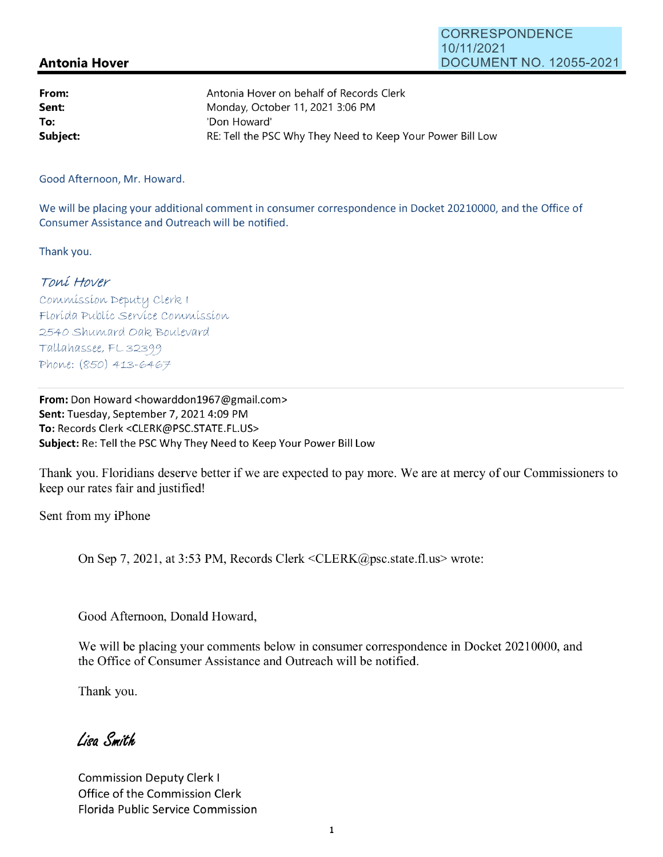## **CORRESPONDENCE** 10/11/2021 DOCUMENT NO. 12055-2021

## **Antonia Hover**

| From:    | Antonia Hover on behalf of Records Clerk                   |
|----------|------------------------------------------------------------|
| Sent:    | Monday, October 11, 2021 3:06 PM                           |
| To:      | 'Don Howard'                                               |
| Subject: | RE: Tell the PSC Why They Need to Keep Your Power Bill Low |

Good Afternoon, Mr. Howard.

We will be placing your additional comment in consumer correspondence in Docket 20210000, and the Office of Consumer Assistance and Outreach will be notified.

Thank you.

## Toní Hover

Commission Deputy Clerk I Florída Publíc Servíce Commission 2540 Shumard Oak Boulevard Tallahassee, FL 32399 Phone: (850) 413-6467

**From:** Don Howard <howarddon1967@gmail.com> **Sent: Tuesday, September 7, 2021 4:09 PM To:** Records Clerk <CLERK@PSC.STATE.FL.US> **Subject:** Re: Tell the PSC Why They Need to Keep Your Power Bill Low

Thank you. Floridians deserve better if we are expected to pay more. We are at mercy of our Commissioners to keep our rates fair and justified!

Sent from my iPhone

On Sep 7, 2021, at 3:53 PM, Records Clerk <CLERK@psc.state.fl.us> wrote:

Good Afternoon, Donald Howard,

We will be placing your comments below in consumer correspondence in Docket 20210000, and the Office of Consumer Assistance and Outreach will be notified.

Thank you.

Liga Smith

Commission Deputy Clerk I Office of the Commission Clerk Florida Public Service Commission